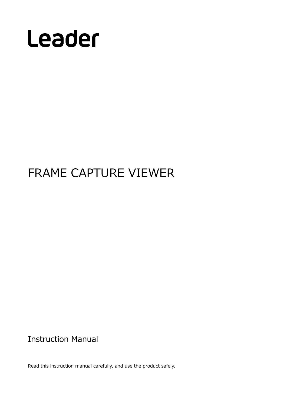

# FRAME CAPTURE VIEWER

Instruction Manual

Read this instruction manual carefully, and use the product safely.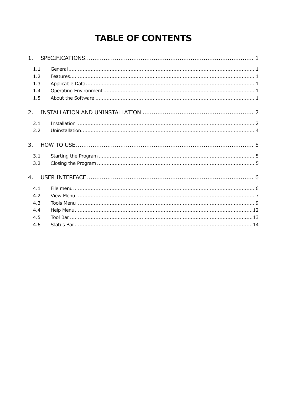## **TABLE OF CONTENTS**

| 1.                              |  |
|---------------------------------|--|
| 1.1<br>1.2<br>1.3<br>1.4<br>1.5 |  |
| 2.                              |  |
| 2.1<br>2.2                      |  |
| 3.                              |  |
| 3.1<br>3.2                      |  |
| 4.                              |  |
| 4.1<br>4.2<br>4.3<br>4.4<br>4.5 |  |
| 4.6                             |  |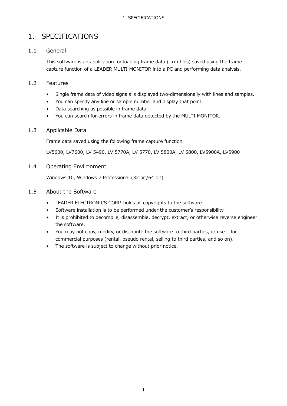## <span id="page-2-0"></span>1. SPECIFICATIONS

#### <span id="page-2-1"></span>1.1 General

This software is an application for loading frame data (.frm files) saved using the frame capture function of a LEADER MULTI MONITOR into a PC and performing data analysis.

#### <span id="page-2-2"></span>1.2 Features

- Single frame data of video signals is displayed two-dimensionally with lines and samples.
- You can specify any line or sample number and display that point.
- Data searching as possible in frame data.
- You can search for errors in frame data detected by the MULTI MONITOR.

#### <span id="page-2-3"></span>1.3 Applicable Data

Frame data saved using the following frame capture function

LV5600, LV7600, LV 5490, LV 5770A, LV 5770, LV 5800A, LV 5800, LV5900A, LV5900

#### <span id="page-2-4"></span>1.4 Operating Environment

Windows 10, Windows 7 Professional (32 bit/64 bit)

#### <span id="page-2-5"></span>1.5 About the Software

- LEADER ELECTRONICS CORP. holds all copyrights to the software.
- Software installation is to be performed under the customer's responsibility.
- It is prohibited to decompile, disassemble, decrypt, extract, or otherwise reverse engineer the software.
- You may not copy, modify, or distribute the software to third parties, or use it for commercial purposes (rental, pseudo rental, selling to third parties, and so on).
- The software is subject to change without prior notice.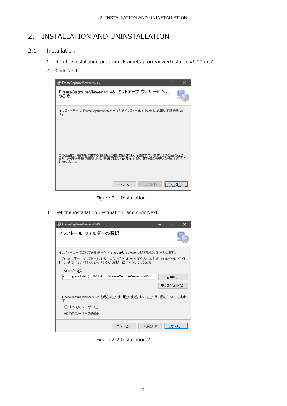## <span id="page-3-0"></span>2. INSTALLATION AND UNINSTALLATION

#### <span id="page-3-1"></span>2.1 Installation

- 1. Run the installation program "FrameCaptureViewerInstaller v\*.\*\*.msi".
- 2. Click Next.



Figure 2-1 Installation 1

3. Set the installation destination, and click Next.



Figure 2-2 Installation 2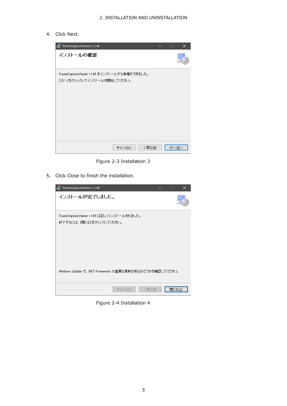4. Click Next.



Figure 2-3 Installation 3

5. Click Close to finish the installation.

| je FrameCaptureViewer v1.46                                           |       |        | □      | × |
|-----------------------------------------------------------------------|-------|--------|--------|---|
| インストールが完了しました。                                                        |       |        |        |   |
| FrameCaptureViewer v1.46 は正しくインストールされました。<br>終了するには、「閉じる」をクリックしてください。 |       |        |        |   |
| Windows Update で、NET Framework の重要な更新があるかどうかを確認してください。                | キャンセル | <戻る(B) | 閉じる(◎) |   |

Figure 2-4 Installation 4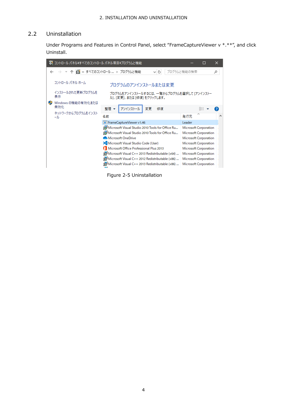#### <span id="page-5-0"></span>2.2 Uninstallation

Under Programs and Features in Control Panel, select "FrameCaptureViewer v \*.\*\*", and click Uninstall.



Figure 2-5 Uninstallation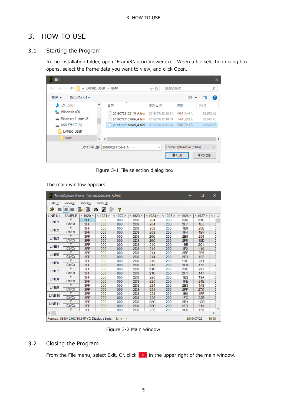## <span id="page-6-0"></span>3. HOW TO USE

#### <span id="page-6-1"></span>3.1 Starting the Program

In the installation folder, open "FrameCaptureViewer.exe". When a file selection dialog box opens, select the frame data you want to view, and click Open.

| 圓駅                                                  |               |                      |                             |                                   | ×                                       |
|-----------------------------------------------------|---------------|----------------------|-----------------------------|-----------------------------------|-----------------------------------------|
| « LV7600_USER > BMP<br>∠<br>$\rightarrow$<br>$\sim$ |               |                      | Ō<br>BMPの検索<br>$\checkmark$ |                                   | مر                                      |
| 新しいフォルダー<br>整理 ▼                                    |               |                      |                             | ⊪: ▼                              | 2<br>ш                                  |
| ♪ ミュージック                                            | Α             | ㅅ<br>名前              | 更新日時                        | 種類                                | サイズ                                     |
| $\frac{1}{2}$ Windows (C:)                          |               | 20190722102145 A.frm | 2019/07/22 10:21            | FRM ファイル                          | 38,672 KB                               |
| Recovery Image (D:)                                 |               | 20190722105926 A.frm | 2019/07/22 10:59            | FRM ファイル                          | 38,672 KB                               |
| — USB ドライブ (F:)                                     |               | 20190722110649_A.frm | 2019/07/22 11:06            | FRM ファイル                          | 38,672 KB                               |
| LV7600 USER                                         |               |                      |                             |                                   |                                         |
| <b>BMP</b>                                          | v.<br>$\prec$ |                      |                             |                                   | $\rightarrow$                           |
| ファイル名(N):                                           |               | 20190722110649 A.frm | $\checkmark$                | FrameCaptureFile (*.frm)<br>開<(O) | $\checkmark$<br>キャンセル<br>$\mathbb{R}^2$ |

Figure 3-1 File selection dialog box

The main window appears.

|                    |               |            | FrameCapture Viewer - [20190722102145_A.frm]            |          |                 |                 |          |                 | □               | ×                |
|--------------------|---------------|------------|---------------------------------------------------------|----------|-----------------|-----------------|----------|-----------------|-----------------|------------------|
| File(E)            | View(V)       | Tools(1)   | $Help(\underline{H})$                                   |          |                 |                 |          |                 |                 |                  |
| ĉ<br>≣             | 喜<br>国        | 剾<br>b     | ė4.<br>₽<br><b>Sec.</b>                                 | ?        |                 |                 |          |                 |                 |                  |
| LINE No.           | <b>SAMPLE</b> | < 1920 >   | < 1921 >                                                | < 1922 > | < 1923 >        | < 1924 >        | < 1925 > | < 1926 >        | < 1927 >        | $\leq$ 1! $\sim$ |
| LINE1              | Y             | 3FF        | 000                                                     | 000      | 2D8             | 204             | 200      | 2BB             | 23C             | C                |
|                    | Cb/Cr         | 3FF        | 000                                                     | 000      | 2D8             | 204             | 200      | 2F7             | 1E8             | ¢                |
| LINE <sub>2</sub>  | ٧             | 3FF        | 000                                                     | 000      | 2D <sub>8</sub> | 208             | 200      | 1B8             | 26B             | C                |
|                    | Cb/Cr         | 3FF        | 000                                                     | 000      | 2D8             | 208             | 200      | 1F4             | 1BF             | C                |
| LINE3              | γ             | 3FF        | 000                                                     | 000      | 2D <sub>8</sub> | 20 <sub>C</sub> | 200      | 2B9             | 259             | C                |
|                    | Cb/Cr         | 3FF        | 000                                                     | 000      | 2D <sub>8</sub> | <b>20C</b>      | 200      | 2F5             | <b>18D</b>      | ż                |
| LINE4              | Ÿ             | 3FF        | 000                                                     | 000      | 2D8             | 210             | 200      | 1 <sub>BE</sub> | <b>2C4</b>      | C                |
|                    | Cb/Cr         | 3FF        | 000                                                     | 000      | 2D <sub>8</sub> | 210             | 200      | 1F2             | 110             | C                |
| LINE5              | γ             | 3FF        | 000                                                     | 000      | 2D <sub>8</sub> | 214             | 200      | 2BF             | 2F6             | C                |
|                    | Cb/Cr         | 3FF        | 000                                                     | 000      | 2D8             | 214             | 200      | 2F3             | 122             | C                |
| LINE6              | Y             | 3FF        | 000                                                     | 000      | 2D <sub>8</sub> | 218             | 200      | 1 <sub>BC</sub> | 2A1             | $\frac{c}{2}$    |
|                    | Cb/Cr         | 3FF        | 000                                                     | 000      | 2D8             | 218             | 200      | 1F <sub>0</sub> | 175             |                  |
| LINE7              | Y             | 3FF        | 000                                                     | 000      | 2D <sub>8</sub> | 21C             | 200      | 2BD             | 293             | C                |
|                    | Cb/Cr         | 3FF        | 000                                                     | 000      | 2D <sub>8</sub> | 21C             | 200      | 2F1             | 147             | C                |
| LINE8              | Ÿ             | 3FF        | 000                                                     | 000      | 2D <sub>8</sub> | 220             | 200      | 1B2             | 19A             | c                |
|                    | Cb/Cr         | 3FF        | 000                                                     | 000      | 2D8             | 220             | 200      | 1FE             | 24E             | 2                |
| LINE9              | γ             | 3FF        | 000                                                     | 000      | 2D <sub>8</sub> | 224             | 200      | 2B3             | <b>1A8</b>      | $\frac{c}{c}$    |
|                    | Cb/Cr         | 3FF        | 000                                                     | 000      | 2D <sub>8</sub> | 224             | 200      | 2FF             | 27 <sub>C</sub> |                  |
| LINE10             | γ             | 3FF        | 000                                                     | 000      | 2D <sub>8</sub> | 228             | 200      | <b>1B0</b>      | 1FF             | C                |
|                    | Cb/Cr         | 3FF        | 000                                                     | 000      | 2D <sub>8</sub> | 228             | 200      | 1FC             | 22B             | C                |
| LINE <sub>11</sub> | Y             | 3FF        | 000                                                     | 000      | 2D <sub>8</sub> | <b>22C</b>      | 200      | 2B1             | 1CD             | C                |
|                    | Cb/Cr         | 3FF        | 000                                                     | 000      | 2D8             | <b>22C</b>      | 200      | 2FD             | 219             | ¢                |
|                    | Ÿ             | <b>RFF</b> | nnn                                                     | nnn      | <b>2D8</b>      | 230             | 200      | 1R <sub>6</sub> | 150             | v<br>c           |
| $\leq$             |               |            |                                                         |          |                 |                 |          |                 |                 | $\mathcal{P}$    |
|                    |               |            | Format: 3840×2160/59.94P YCI Display: Serial < Link 1 > |          |                 |                 |          |                 | 2019/07/22      | 10:13            |

Figure 3-2 Main window

#### <span id="page-6-2"></span>3.2 Closing the Program

From the File menu, select Exit. Or, click  $\frac{x}{x}$  in the upper right of the main window.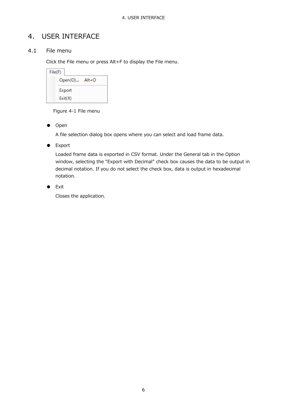## <span id="page-7-0"></span>4. USER INTERFACE

#### <span id="page-7-1"></span>4.1 File menu

Click the File menu or press Alt+F to display the File menu.

| File(F) |         |
|---------|---------|
| Open(O) | $Alt+O$ |
| Export  |         |
| Exit(X) |         |

Figure 4-1 File menu

● Open

A file selection dialog box opens where you can select and load frame data.

● Export

Loaded frame data is exported in CSV format. Under the General tab in the Option window, selecting the "Export with Decimal" check box causes the data to be output in decimal notation. If you do not select the check box, data is output in hexadecimal notation.

● Exit

Closes the application.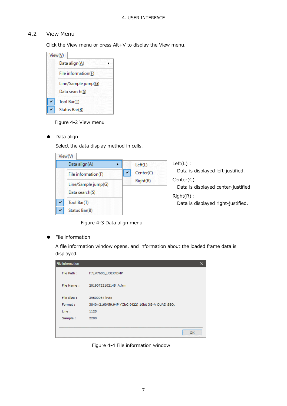#### <span id="page-8-0"></span>4.2 View Menu

Click the View menu or press Alt+V to display the View menu.

| View(V)             |  |
|---------------------|--|
| Data align(A)       |  |
| File information(F) |  |
| Line/Sample jump(G) |  |
| Data search(S)      |  |
| Tool Bar(T)         |  |
| Status Bar(B)       |  |

Figure 4-2 View menu

● Data align

Select the data display method in cells.

| View(V)                                                     |                                  |                                                                                                          |
|-------------------------------------------------------------|----------------------------------|----------------------------------------------------------------------------------------------------------|
| Data align(A)<br>File information(F)<br>Line/Sample jump(G) | Left(L)<br>Center(C)<br>Right(R) | $Left(L)$ :<br>Data is displayed left-justified.<br>$Center(C)$ :<br>Data is displayed center-justified. |
| Data search(S)                                              |                                  | $Right(R)$ :                                                                                             |
| Tool Bar(T)<br>Status Bar(B)                                |                                  | Data is displayed right-justified.                                                                       |

Figure 4-3 Data align menu

#### ● File information

A file information window opens, and information about the loaded frame data is displayed.

| File Information |                                                  | × |
|------------------|--------------------------------------------------|---|
| File Path:       | F:\LV7600_USER\BMP                               |   |
| File Name:       | 20190722102145 A.frm                             |   |
| File Size:       | 39600064 byte                                    |   |
| Format:          | 3840×2160/59.94P YCbCr(422) 10bit 3G-A QUAD SEQ. |   |
| Line:            | 1125                                             |   |
| Sample:          | 2200                                             |   |
|                  |                                                  |   |
|                  | OK                                               |   |

Figure 4-4 File information window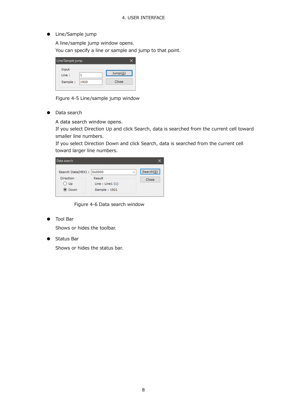● Line/Sample jump

A line/sample jump window opens. You can specify a line or sample and jump to that point.

| Line/Sample jump |      |         |
|------------------|------|---------|
| Input            |      |         |
| Line:            |      | Jump(G) |
| Sample:          | 1920 | Close   |

Figure 4-5 Line/sample jump window

● Data search

A data search window opens.

If you select Direction Up and click Search, data is searched from the current cell toward smaller line numbers.

If you select Direction Down and click Search, data is searched from the current cell toward larger line numbers.

| Data search               |                                                     |              |           |
|---------------------------|-----------------------------------------------------|--------------|-----------|
| Search Data(HEX) :        | 0x0000                                              | $\checkmark$ | Search(S) |
| Direction<br>○ Up<br>Down | <b>Result</b><br>Line : Line1 $(1)$<br>Sample: 1921 |              | Close     |

Figure 4-6 Data search window

Tool Bar

Shows or hides the toolbar.

**Status Bar** 

Shows or hides the status bar.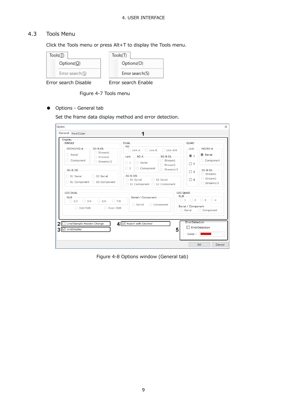#### <span id="page-10-0"></span>4.3 Tools Menu

Click the Tools menu or press Alt+T to display the Tools menu.

| Tools(T)             | Tools(T)            |
|----------------------|---------------------|
| Options(O)           | Options(O)          |
| Error search(S)      | Error search(S)     |
| Error search Disable | Error search Enable |

Figure 4-7 Tools menu

● Options - General tab

Set the frame data display method and error detection.

| SD/HD/3G-A<br>◯ Serial<br>Component                                      | $3G-B-DL$<br>◯ Stream1<br>Stream <sub>2</sub><br>$\bigcirc$ Stream1/2 | $-HD$<br>$\bigcirc$ Link B<br>◯ Link A/B<br>$\bigcirc$ Link A<br>$3G-A$<br>$3G-B-DL-$<br>Link<br>$\bigcirc$ Stream1<br>$\bigcirc$ 1<br>◯ Serial | <b>OUAD</b><br>Link<br>$\odot$ 1                              | $HD/3G-A$<br>◉ Serial<br>Component                                              |
|--------------------------------------------------------------------------|-----------------------------------------------------------------------|-------------------------------------------------------------------------------------------------------------------------------------------------|---------------------------------------------------------------|---------------------------------------------------------------------------------|
| $3G-B-DS$<br>◯ S1 Serial                                                 | ◯ S2 Serial<br>◯ S1 Component ◯ S2 Component                          | ◯ Stream2<br>○ 2<br>Component<br>$\bigcirc$ Stream1/2<br>$3G-B-DS$<br>◯ S1 Serial<br>◯ S2 Serial<br>◯ S1 Component ◯ S2 Component               | $\bigcirc$ 2<br>$\bigcirc$ 3<br>$\bigcap$ 4                   | $3G-B-DL-$<br>$\bigcirc$ Stream1<br>Stream <sub>2</sub><br>$\bigcirc$ Stream1/2 |
| 12G DUAL-<br><b>SUB</b><br>$\bigcirc$ 3/4<br>$\bigcirc$ 1/2<br>O Odd SUB | $\bigcirc$ 5/6<br>$\bigcirc$ 7/8<br>C Even SUB                        | Serial / Component<br>$\bigcirc$ Serial<br>C Component                                                                                          | 12G QUAD<br><b>SUB</b><br>Serial / Component<br>Serial<br>( ) | 01020304<br>Component<br>0                                                      |
| Line/Sample Header Change<br>$3\sqrt{\Box}$ GridDisplay                  |                                                                       | 4   Ø Export with Decimal                                                                                                                       | ErrorDetection<br>5                                           | ErrorDetection                                                                  |

Figure 4-8 Options window (General tab)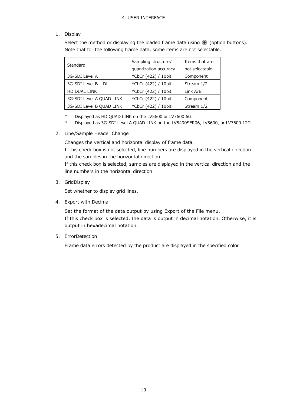#### 1. Display

Select the method or displaying the loaded frame data using  $\odot$  (option buttons). Note that for the following frame data, some items are not selectable.

| Standard                 | Sampling structure/   | Items that are |  |  |
|--------------------------|-----------------------|----------------|--|--|
|                          | quantization accuracy | not selectable |  |  |
| 3G-SDI Level A           | YCbCr (422) / 10bit   | Component      |  |  |
| 3G-SDI Level B - DL      | YCbCr (422) / 10bit   | Stream 1/2     |  |  |
| HD DUAL LINK             | YCbCr (422) / 10bit   | Link A/B       |  |  |
| 3G-SDI Level A QUAD LINK | YCbCr (422) / 10bit   | Component      |  |  |
| 3G-SDI Level B QUAD LINK | YCbCr (422) / 10bit   | Stream 1/2     |  |  |

- \* Displayed as HD QUAD LINK on the LV5600 or LV7600 6G.
- \* Displayed as 3G-SDI Level A QUAD LINK on the LV5490SER06, LV5600, or LV7600 12G.

#### 2. Line/Sample Header Change

Changes the vertical and horizontal display of frame data.

If this check box is not selected, line numbers are displayed in the vertical direction and the samples in the horizontal direction.

If this check box is selected, samples are displayed in the vertical direction and the line numbers in the horizontal direction.

3. GridDisplay

Set whether to display grid lines.

4. Export with Decimal

Set the format of the data output by using Export of the File menu. If this check box is selected, the data is output in decimal notation. Otherwise, it is output in hexadecimal notation.

5. ErrorDetection

Frame data errors detected by the product are displayed in the specified color.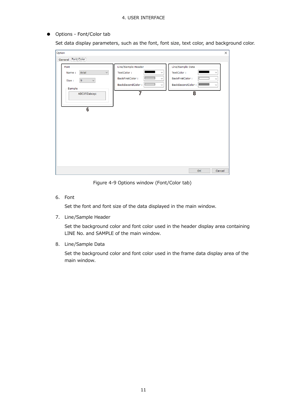● Options - Font/Color tab

Set data display parameters, such as the font, font size, text color, and background color.

| Option                                                                                                            |                                                                                                             |                                                                                                                                 | ×. |
|-------------------------------------------------------------------------------------------------------------------|-------------------------------------------------------------------------------------------------------------|---------------------------------------------------------------------------------------------------------------------------------|----|
| General Font/Color                                                                                                |                                                                                                             |                                                                                                                                 |    |
| Font<br>Arial<br>$\checkmark$<br>Name:<br>9<br>$\mathbf{v}$<br>Size:<br>Sample<br>ABCXYZabcxyz<br>$6\overline{6}$ | Line/Sample Header<br>TextColor:<br>∨<br>BackFirstColor:<br>$\sim$<br>BackSecondColor:<br>$\checkmark$<br>7 | Line/Sample Data<br>TextColor:<br>v<br>BackFirstColor:<br>$\checkmark$<br>BackSecondColor:<br>$\sim$<br>$\overline{\mathbf{8}}$ |    |
|                                                                                                                   |                                                                                                             | Cancel<br><b>OK</b>                                                                                                             |    |

Figure 4-9 Options window (Font/Color tab)

6. Font

Set the font and font size of the data displayed in the main window.

7. Line/Sample Header

Set the background color and font color used in the header display area containing LINE No. and SAMPLE of the main window.

8. Line/Sample Data

Set the background color and font color used in the frame data display area of the main window.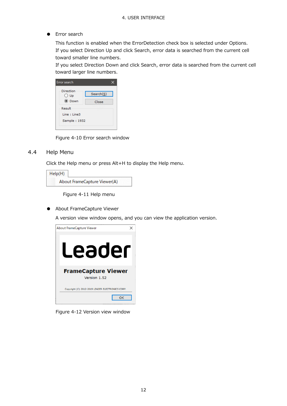● Error search

This function is enabled when the ErrorDetection check box is selected under Options. If you select Direction Up and click Search, error data is searched from the current cell toward smaller line numbers.

If you select Direction Down and click Search, error data is searched from the current cell toward larger line numbers.

| Direction     |           |
|---------------|-----------|
| $\bigcirc$ Up | Search(S) |
| ◉ Down        | Close     |
| Result        |           |
| Line: Line3   |           |
| Sample: 1932  |           |

Figure 4-10 Error search window

#### <span id="page-13-0"></span>4.4 Help Menu

Click the Help menu or press Alt+H to display the Help menu.

| Help(H) |                              |
|---------|------------------------------|
|         | About FrameCapture Viewer(A) |

Figure 4-11 Help menu

● About FrameCapture Viewer

A version view window opens, and you can view the application version.



Figure 4-12 Version view window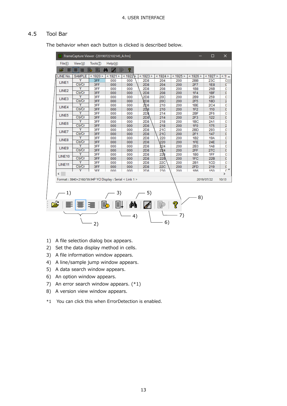#### <span id="page-14-0"></span>4.5 Tool Bar

The behavior when each button is clicked is described below.

|  |                    |               | FrameCapture Viewer - [20190722102145_A.frm]            |                  |        |                 |                 |          |                 | $\Box$     | ×                  |
|--|--------------------|---------------|---------------------------------------------------------|------------------|--------|-----------------|-----------------|----------|-----------------|------------|--------------------|
|  | File(F)            | View(V)       | Tools(T)                                                | Help( <u>H</u> ) |        |                 |                 |          |                 |            |                    |
|  | r I                | 亖<br>罩        | b<br>圓                                                  | đή<br>Þ<br>ø     | ?      |                 |                 |          |                 |            |                    |
|  | LINE No.           | <b>SAMPLE</b> | < 1920 >                                                | < 1921 >         | < 1922 | < 1923 >        | < 1924 >        | < 1925 > | < 1926 >        | < 1927 >   | $\leq 1!$ $\wedge$ |
|  | LINE1              | Y             | 3FF                                                     | 000              | 000    | 2D8             | 204             | 200      | 2BB             | 23C        | C                  |
|  |                    | Cb/Cr         | 3FF                                                     | 000              | 000    | 2D8             | 204             | 200      | 2F7             | 1E8        | C                  |
|  | LINE <sub>2</sub>  | Υ             | 3FF                                                     | 000              | 000    | 2D <sub>8</sub> | 208             | 200      | 1B8             | 26B        | C                  |
|  |                    | Cb/Cr         | 3FF                                                     | 000              | 000    | 2D <sub>8</sub> | 208             | 200      | 1F4             | 1BF        | ¢                  |
|  | LINE3              | Ÿ             | 3FF                                                     | 000              | 000    | 2D <sub>8</sub> | 20 <sub>C</sub> | 200      | 2B9             | 259        | C                  |
|  |                    | Cb/Cr         | 3FF                                                     | 000              | 000    | 2D <sub>8</sub> | <b>20C</b>      | 200      | 2F5             | <b>18D</b> | 2                  |
|  | LINE4              | ٧             | 3FF                                                     | 000              | 000    | <b>2D8</b>      | 210             | 200      | 1BE             | <b>2C4</b> | C                  |
|  |                    | Cb/Cr         | 3FF                                                     | 000              | 000    | <b>2D8</b>      | 210             | 200      | 1F2             | 110        | ¢                  |
|  | LINE5              | Υ             | 3FF                                                     | 000              | 000    | 2D8             | 214             | 200      | 2BF             | 2F6        | C                  |
|  |                    | Cb/Cr         | 3FF                                                     | 000              | 000    | 2D8             | 214             | 200      | 2F3             | 122        | C                  |
|  | LINE6              | Υ             | 3FF                                                     | 000              | 000    | 2D <sub>8</sub> | 218             | 200      | 1 <sub>BC</sub> | 2A1        | C                  |
|  |                    | Cb/Cr         | 3FF                                                     | 000              | 000    | 2D <sub>8</sub> | 218             | 200      | 1F <sub>0</sub> | 175        | 2                  |
|  | LINE7              | ٧             | 3FF                                                     | 000              | 000    | 2D8             | 21C             | 200      | 2 <sub>BD</sub> | 293        | C                  |
|  |                    | Cb/Cr         | 3FF                                                     | 000              | 000    | 2D8             | <b>21C</b>      | 200      | 2F1             | 147        | ¢                  |
|  | LINE8              | Υ             | 3FF                                                     | 000              | 000    | 2D <sub>8</sub> | 220             | 200      | 1B2             | <b>19A</b> | C                  |
|  |                    | Cb/Cr         | 3FF                                                     | 000              | 000    | 2D8             | 220             | 200      | 1FE             | <b>24E</b> | 2                  |
|  | LINE9              |               | 3FF                                                     | 000              | 000    | 2D <sub>8</sub> | 224             | 200      | 2B3             | <b>1A8</b> | C                  |
|  |                    | Cb/Cr         | 3FF                                                     | 000              | 000    | 2D8             | 224             | 200      | 2FF             | <b>27C</b> | ¢                  |
|  | LINE10             | Υ             | 3FF                                                     | 000              | 000    | 2D <sub>8</sub> | 228             | 200      | <b>1B0</b>      | 1FF        | C                  |
|  |                    | Cb/Cr         | 3FF                                                     | 000              | 000    | 2D8             | 228             | 200      | 1FC             | 22B        | ¢                  |
|  | LINE <sub>11</sub> |               | 3FF                                                     | 000              | 000    | 2D <sub>8</sub> | 22C             | 200      | 2B1             | 1CD        | C                  |
|  |                    | Cb/Cr         | 3FF                                                     | 000              | 000    | 2D8             | <b>22C</b>      | 200      | 2FD             | 219        | C                  |
|  |                    | Ÿ             | RFF                                                     | nnn              | nnn    | 2D.8            | 230             | 200      | 1R <sub>6</sub> | 150        | $\overline{0}$     |
|  | $\langle$ .        |               |                                                         |                  |        |                 |                 |          |                 |            | $\rightarrow$      |
|  |                    |               | Format: 3840×2160/59.94P YCI Display: Serial < Link 1 > |                  |        |                 |                 |          |                 | 2019/07/22 | 10:13              |
|  |                    |               |                                                         |                  |        |                 |                 |          |                 |            |                    |
|  |                    |               |                                                         |                  |        |                 |                 |          |                 |            |                    |
|  | 1)                 |               |                                                         | 3)               |        | 5)              |                 |          |                 |            |                    |
|  |                    |               |                                                         |                  |        |                 |                 |          | 8)              |            |                    |
|  |                    | $\equiv$      |                                                         | b.<br>I≣I        |        |                 |                 | ?        |                 |            |                    |
|  |                    |               |                                                         |                  | М      |                 |                 |          |                 |            |                    |
|  |                    |               |                                                         |                  | 4)     |                 |                 | 7)       |                 |            |                    |
|  |                    |               |                                                         |                  |        |                 |                 |          |                 |            |                    |
|  |                    |               | 2)                                                      |                  |        |                 | 6)              |          |                 |            |                    |

- 1) A file selection dialog box appears.
- 2) Set the data display method in cells.
- 3) A file information window appears.
- 4) A line/sample jump window appears.
- 5) A data search window appears.
- 6) An option window appears.
- 7) An error search window appears. (\*1)
- 8) A version view window appears.
- \*1 You can click this when ErrorDetection is enabled.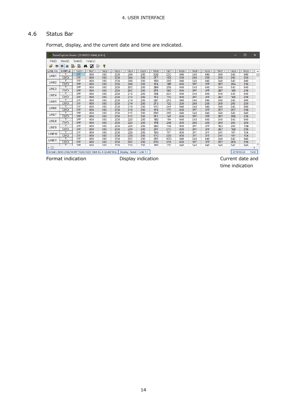#### <span id="page-15-0"></span>4.6 Status Bar

Format, display, and the current date and time are indicated.

| 圓                      | FrameCapture Viewer - [20190722110649 A.frm]                |          |                                |                                                          |          |                             |          |                 |            |          |              |          |                 |            | $\Box$     | $\times$        |
|------------------------|-------------------------------------------------------------|----------|--------------------------------|----------------------------------------------------------|----------|-----------------------------|----------|-----------------|------------|----------|--------------|----------|-----------------|------------|------------|-----------------|
| File(F)                | View(V)                                                     | Tools(T) | HeIp(H)                        |                                                          |          |                             |          |                 |            |          |              |          |                 |            |            |                 |
| £<br>目                 | 喜<br>這                                                      | 圓<br>b.  | đâ<br>$\overline{\mathscr{N}}$ | Þ<br>ୃବ                                                  |          |                             |          |                 |            |          |              |          |                 |            |            |                 |
| <b>LINE No</b>         | <b>SAMPLE</b>                                               | < 1920   | < 1921 >                       | < 1922 >                                                 | < 1923 > | < 1924 >                    | < 1925 > | < 1926 >        | < 1927     | < 1928 > | $<$ 1929 $>$ | < 1930 > | < 1931 >        | < 1932 >   | < 1933 >   | $\leq$ $\wedge$ |
| LINE1                  |                                                             | 3FF      | 000                            | 000                                                      | 2D8      | 204                         | 200      | 2BB             | 23C        | 040      | 040          | 040      | 040             | 040        | 040        |                 |
|                        | Cb/Cr                                                       | 3FF      | 000                            | 000                                                      | 2D8      | 204                         | 200      | 2F7             | 1E8        | 200      | 200          | 200      | 200             | 200        | 200        |                 |
| LINE <sub>2</sub>      |                                                             | 3FF      | 000                            | 000                                                      | 2D8      | 208                         | 200      | 1B8             | 26B        | 040      | 040          | 040      | 040             | 040        | 040        |                 |
|                        | Cb/Cr                                                       | 3FF      | 000                            | 000                                                      | 2D8      | 208                         | 200      | 1F4             | 1BF        | 000      | 3FF          | 3FF      | 2E7             | 2E4        | 218        |                 |
| LINE3                  | Y                                                           | 3FF      | 000                            | 000                                                      | 2D8      | <b>20C</b>                  | 200      | 2B9             | 259        | 040      | 040          | 040      | 040             | 040        | 040        |                 |
|                        | Cb/Cr                                                       | 3FF      | 000                            | 000                                                      | 2D8      | <b>20C</b>                  | 200      | 2F5             | <b>18D</b> | 000      | 3FF          | 3FF      | <b>2E7</b>      | <b>1E5</b> | 218        |                 |
| LINE4                  | Ÿ                                                           | 3FF      | 000                            | 000                                                      | 2D8      | 210                         | 200      | 1 <sub>BE</sub> | <b>2C4</b> | 040      | 040          | 040      | 040             | 040        | 040        |                 |
|                        | Cb/Cr                                                       | 3FF      | 000                            | 000                                                      | 2D8      | 210                         | 200      | 1F2             | 110        | 000      | 3FF          | 3FF      | <b>2E7</b>      | 1E6        | 218        |                 |
| LINE5                  | Ÿ                                                           | 3FF      | 000                            | 000                                                      | 2D8      | 214                         | 200      | 2BF             | 2F6        | 040      | 040          | 040      | 040             | 040        | 040        |                 |
|                        | Cb/Cr                                                       | 3FF      | 000                            | 000                                                      | 2D8      | 214                         | 200      | 2F3             | 122        | 200      | 200          | 200      | 200             | 200        | 200        |                 |
| LINE6                  | Ÿ                                                           | 3FF      | 000                            | 000                                                      | 2D8      | 218                         | 200      | 1 <sub>BC</sub> | <b>2A1</b> | 040      | 040          | 040      | 040             | 040        | 040        |                 |
|                        | Cb/Cr                                                       | 3FF      | 000                            | 000                                                      | 2D8      | 218                         | 200      | 1F <sub>0</sub> | 175        | 000      | 3FF          | 3FF      | <b>2E7</b>      | <b>2E7</b> | 218        |                 |
| LINE7                  | Ÿ                                                           | 3FF      | 000                            | 000                                                      | 2D8      | <b>21C</b>                  | 200      | 2BD             | 293        | 040      | 040          | 040      | 040             | 040        | 040        |                 |
|                        | Cb/Cr                                                       | 3FF      | 000                            | 000                                                      | 2D8      | <b>21C</b>                  | 200      | 2F1             | 147        | 000      | 3FF          | 3FF      | 2E7             | 2E8        | 218        |                 |
| LINE8                  | Ÿ                                                           | 3FF      | 000                            | 000                                                      | 2D8      | 220                         | 200      | 1B2             | <b>19A</b> | 040      | 040          | 040      | 040             | 040        | 040        |                 |
|                        | Cb/Cr                                                       | 3FF      | 000                            | 000                                                      | 2D8      | 220                         | 200      | 1FE             | <b>24E</b> | 200      | 200          | 200      | 200             | 200        | 200        |                 |
| LINE9                  | Ÿ                                                           | 3FF      | 000                            | 000                                                      | 2D8      | 224                         | 200      | 2B <sub>3</sub> | <b>1A8</b> | 000      | 3FF          | 3FF      | 1E <sub>3</sub> | 200        | <b>10B</b> |                 |
|                        | Cb/Cr                                                       | 3FF      | 000                            | 000                                                      | 2D8      | 224                         | 200      | 2FF             | <b>27C</b> | 000      | 3FF          | 3FF      | 2E7             | 1E9        | 218        |                 |
| LINE <sub>10</sub>     | Ÿ                                                           | 3FF      | 000                            | 000                                                      | 2D8      | 228                         | 200      | <b>1B0</b>      | 1FF        | 000      | 3FF          | 3FF      | 241             | 101        | 104        |                 |
|                        | Cb/Cr                                                       | 3FF      | 000                            | 000                                                      | 2D8      | 228                         | 200      | 1FC             | 22B        | 000      | 3FF          | 3FF      | 241             | 101        | 104        |                 |
| LINE <sub>11</sub>     | Y                                                           | 3FF      | 000                            | 000                                                      | 2D8      | <b>22C</b>                  | 200      | 2B1             | 1CD        | 040      | 040          | 040      | 040             | 040        | 040        |                 |
|                        | Cb/Cr                                                       | 3FF      | 000                            | 000                                                      | 2D8      | <b>22C</b>                  | 200      | 2FD             | 219        | 000      | 3FF          | 3FF      | <b>2E7</b>      | 2EB        | 218        | $\checkmark$    |
|                        | v                                                           | 3FF      | 000                            | 000                                                      | 2D8      | 230                         | 200      | 1 <sub>RR</sub> | 150        | 040      | 040          | 040      | 040             | 040        | 040        |                 |
| $\,<$<br>$\rightarrow$ |                                                             |          |                                |                                                          |          |                             |          |                 |            |          |              |          |                 |            |            |                 |
|                        |                                                             |          |                                | Format: 3840×2160/59.94P YCbCr(422) 10bit 3G-A QUAD SEQ. |          | Display : Serial < Link 1 > |          |                 |            |          |              |          |                 | 2019/07/22 |            | 15:32           |
|                        | Format indication<br>Display indication<br>Current date and |          |                                |                                                          |          |                             |          |                 |            |          |              |          |                 |            |            |                 |

time indication